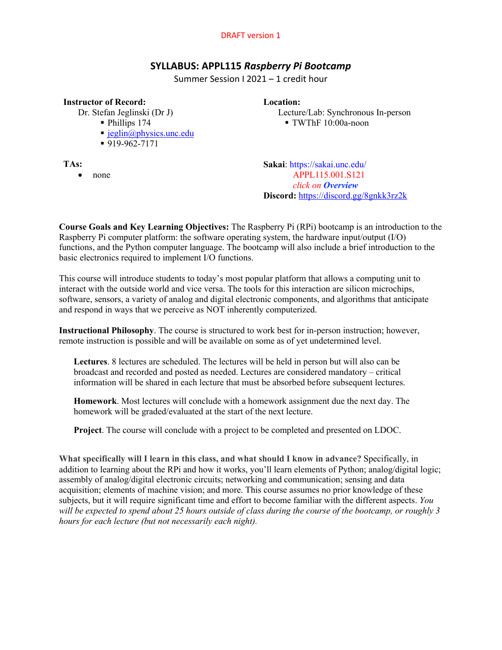# **SYLLABUS: APPL115** *Raspberry Pi Bootcamp*

Summer Session I 2021 – 1 credit hour

# **Instructor of Record:**

Dr. Stefan Jeglinski (Dr J)

- § Phillips 174
- $\blacksquare$  jeglin@physics.unc.edu
- § 919-962-7171

**TAs:**

• none

**Location:**

Lecture/Lab: Synchronous In-person § TWThF 10:00a-noon

**Sakai**: https://sakai.unc.edu/ APPL115.001.S121 *click on Overview* **Discord:** https://discord.gg/8gnkk3rz2k

**Course Goals and Key Learning Objectives:** The Raspberry Pi (RPi) bootcamp is an introduction to the Raspberry Pi computer platform: the software operating system, the hardware input/output (I/O) functions, and the Python computer language. The bootcamp will also include a brief introduction to the basic electronics required to implement I/O functions.

This course will introduce students to today's most popular platform that allows a computing unit to interact with the outside world and vice versa. The tools for this interaction are silicon microchips, software, sensors, a variety of analog and digital electronic components, and algorithms that anticipate and respond in ways that we perceive as NOT inherently computerized.

**Instructional Philosophy**. The course is structured to work best for in-person instruction; however, remote instruction is possible and will be available on some as of yet undetermined level.

**Lectures**. 8 lectures are scheduled. The lectures will be held in person but will also can be broadcast and recorded and posted as needed. Lectures are considered mandatory – critical information will be shared in each lecture that must be absorbed before subsequent lectures.

**Homework**. Most lectures will conclude with a homework assignment due the next day. The homework will be graded/evaluated at the start of the next lecture.

**Project**. The course will conclude with a project to be completed and presented on LDOC.

**What specifically will I learn in this class, and what should I know in advance?** Specifically, in addition to learning about the RPi and how it works, you'll learn elements of Python; analog/digital logic; assembly of analog/digital electronic circuits; networking and communication; sensing and data acquisition; elements of machine vision; and more. This course assumes no prior knowledge of these subjects, but it will require significant time and effort to become familiar with the different aspects. *You will be expected to spend about 25 hours outside of class during the course of the bootcamp, or roughly 3 hours for each lecture (but not necessarily each night).*

### DRAFT version 1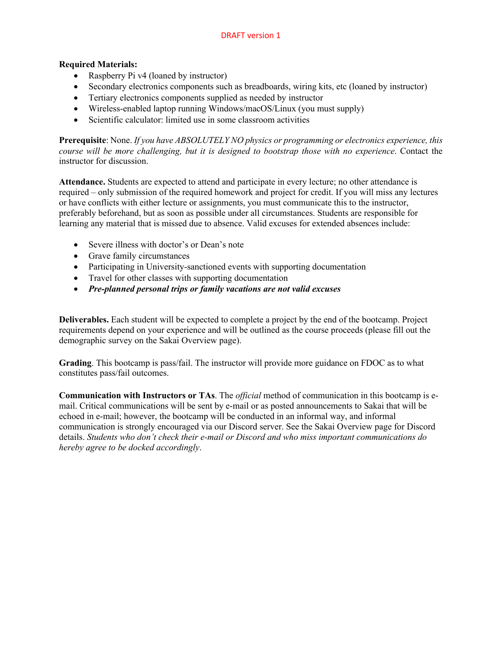# **Required Materials:**

- Raspberry Pi v4 (loaned by instructor)
- Secondary electronics components such as breadboards, wiring kits, etc (loaned by instructor)
- Tertiary electronics components supplied as needed by instructor
- Wireless-enabled laptop running Windows/macOS/Linux (you must supply)
- Scientific calculator: limited use in some classroom activities

**Prerequisite**: None. *If you have ABSOLUTELY NO physics or programming or electronics experience, this course will be more challenging, but it is designed to bootstrap those with no experience*. Contact the instructor for discussion.

**Attendance.** Students are expected to attend and participate in every lecture; no other attendance is required – only submission of the required homework and project for credit. If you will miss any lectures or have conflicts with either lecture or assignments, you must communicate this to the instructor, preferably beforehand, but as soon as possible under all circumstances. Students are responsible for learning any material that is missed due to absence. Valid excuses for extended absences include:

- Severe illness with doctor's or Dean's note
- Grave family circumstances
- Participating in University-sanctioned events with supporting documentation
- Travel for other classes with supporting documentation
- *Pre-planned personal trips or family vacations are not valid excuses*

**Deliverables.** Each student will be expected to complete a project by the end of the bootcamp. Project requirements depend on your experience and will be outlined as the course proceeds (please fill out the demographic survey on the Sakai Overview page).

**Grading**. This bootcamp is pass/fail. The instructor will provide more guidance on FDOC as to what constitutes pass/fail outcomes.

**Communication with Instructors or TAs**. The *official* method of communication in this bootcamp is email. Critical communications will be sent by e-mail or as posted announcements to Sakai that will be echoed in e-mail; however, the bootcamp will be conducted in an informal way, and informal communication is strongly encouraged via our Discord server. See the Sakai Overview page for Discord details. *Students who don't check their e-mail or Discord and who miss important communications do hereby agree to be docked accordingly*.